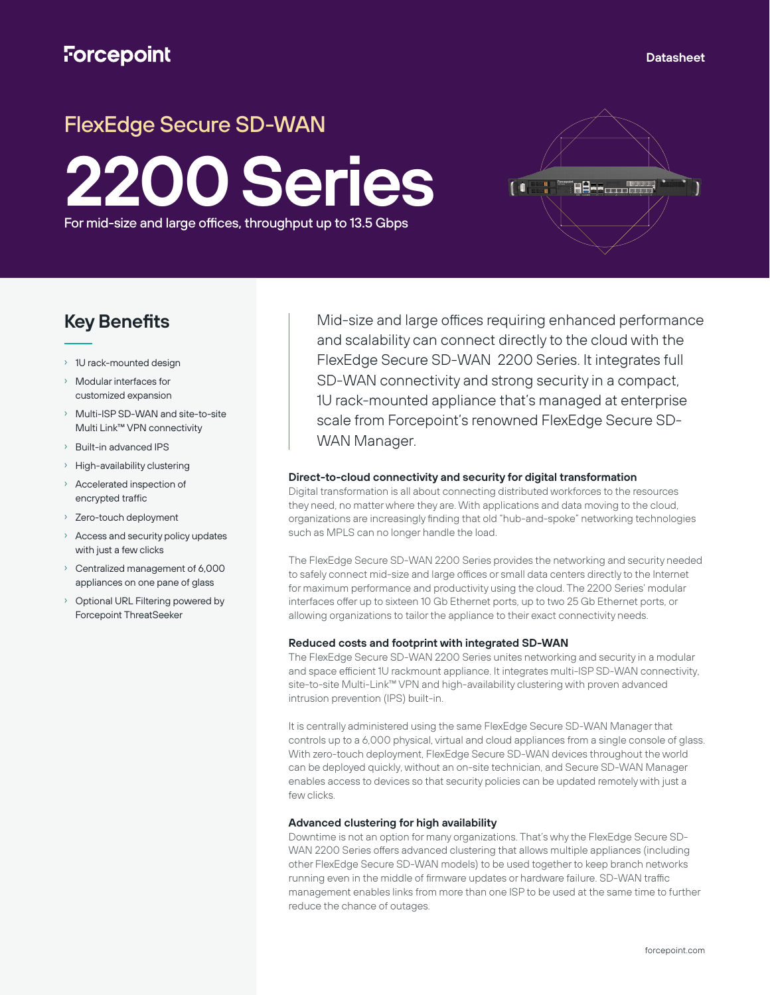H⊟⊷<del>…..............</del>

## FlexEdge Secure SD-WAN

# **2200 Series**

For mid-size and large offices, throughput up to 13.5 Gbps

### **Key Benefits**

- › 1U rack-mounted design
- Modular interfaces for customized expansion
- › Multi-ISP SD-WAN and site-to-site Multi Link™ VPN connectivity
- › Built-in advanced IPS
- › High-availability clustering
- › Accelerated inspection of encrypted traffic
- › Zero-touch deployment
- Access and security policy updates with just a few clicks
- Centralized management of 6,000 appliances on one pane of glass
- › Optional URL Filtering powered by Forcepoint ThreatSeeker

Mid-size and large offices requiring enhanced performance and scalability can connect directly to the cloud with the FlexEdge Secure SD-WAN 2200 Series. It integrates full SD-WAN connectivity and strong security in a compact, 1U rack-mounted appliance that's managed at enterprise scale from Forcepoint's renowned FlexEdge Secure SD-WAN Manager.

#### **Direct-to-cloud connectivity and security for digital transformation**

Digital transformation is all about connecting distributed workforces to the resources they need, no matter where they are. With applications and data moving to the cloud, organizations are increasingly finding that old "hub-and-spoke" networking technologies such as MPLS can no longer handle the load.

The FlexEdge Secure SD-WAN 2200 Series provides the networking and security needed to safely connect mid-size and large offices or small data centers directly to the Internet for maximum performance and productivity using the cloud. The 2200 Series' modular interfaces offer up to sixteen 10 Gb Ethernet ports, up to two 25 Gb Ethernet ports, or allowing organizations to tailor the appliance to their exact connectivity needs.

#### **Reduced costs and footprint with integrated SD-WAN**

The FlexEdge Secure SD-WAN 2200 Series unites networking and security in a modular and space efficient 1U rackmount appliance. It integrates multi-ISP SD-WAN connectivity, site-to-site Multi-Link™ VPN and high-availability clustering with proven advanced intrusion prevention (IPS) built-in.

It is centrally administered using the same FlexEdge Secure SD-WAN Manager that controls up to a 6,000 physical, virtual and cloud appliances from a single console of glass. With zero-touch deployment, FlexEdge Secure SD-WAN devices throughout the world can be deployed quickly, without an on-site technician, and Secure SD-WAN Manager enables access to devices so that security policies can be updated remotely with just a few clicks.

#### **Advanced clustering for high availability**

Downtime is not an option for many organizations. That's why the FlexEdge Secure SD-WAN 2200 Series offers advanced clustering that allows multiple appliances (including other FlexEdge Secure SD-WAN models) to be used together to keep branch networks running even in the middle of firmware updates or hardware failure. SD-WAN traffic management enables links from more than one ISP to be used at the same time to further reduce the chance of outages.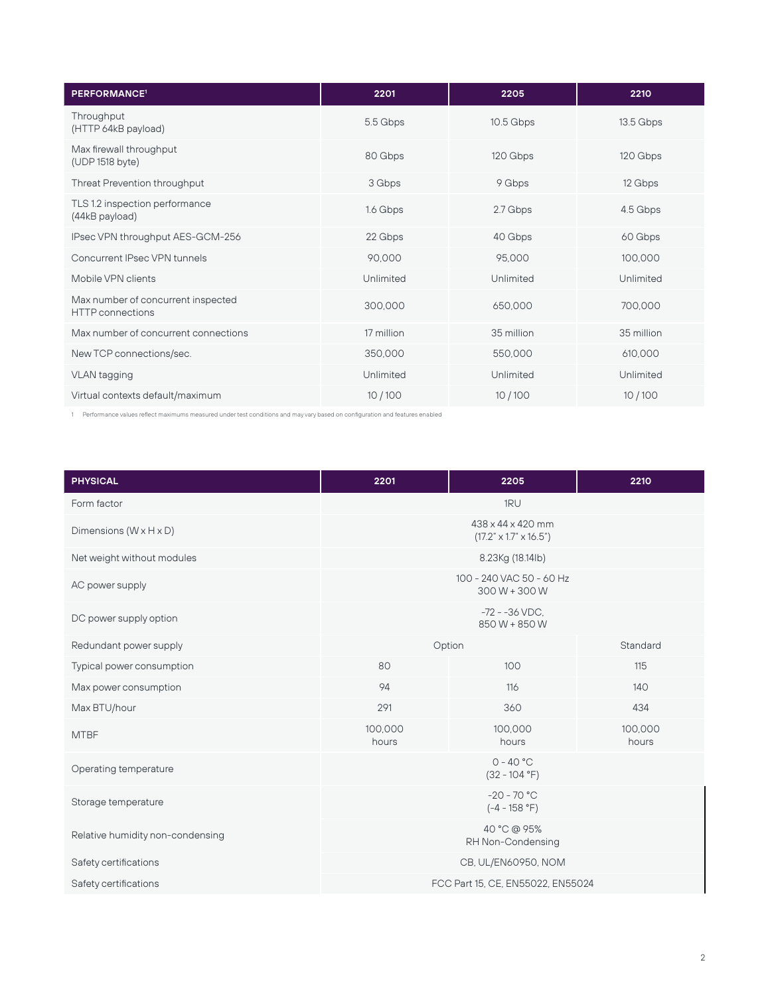| <b>PERFORMANCE<sup>1</sup></b>                                | 2201       | 2205       | 2210       |
|---------------------------------------------------------------|------------|------------|------------|
| Throughput<br>(HTTP 64kB payload)                             | 5.5 Gbps   | 10.5 Gbps  | 13.5 Gbps  |
| Max firewall throughput<br>(UDP 1518 byte)                    | 80 Gbps    | 120 Gbps   | 120 Gbps   |
| Threat Prevention throughput                                  | 3 Gbps     | 9 Gbps     | 12 Gbps    |
| TLS 1.2 inspection performance<br>(44kB payload)              | 1.6 Gbps   | 2.7 Gbps   | 4.5 Gbps   |
| IPsec VPN throughput AES-GCM-256                              | 22 Gbps    | 40 Gbps    | 60 Gbps    |
| Concurrent IPsec VPN tunnels                                  | 90,000     | 95,000     | 100,000    |
| Mobile VPN clients                                            | Unlimited  | Unlimited  | Unlimited  |
| Max number of concurrent inspected<br><b>HTTP</b> connections | 300,000    | 650,000    | 700,000    |
| Max number of concurrent connections                          | 17 million | 35 million | 35 million |
| New TCP connections/sec.                                      | 350,000    | 550,000    | 610,000    |
| VLAN tagging                                                  | Unlimited  | Unlimited  | Unlimited  |
| Virtual contexts default/maximum                              | 10/100     | 10/100     | 10/100     |

1 Performance values reflect maximums measured under test conditions and may vary based on configuration and features enabled

| <b>PHYSICAL</b>                    | 2201                                                    | 2205             | 2210             |
|------------------------------------|---------------------------------------------------------|------------------|------------------|
| Form factor                        | 1RU                                                     |                  |                  |
| Dimensions $(W \times H \times D)$ | 438 x 44 x 420 mm<br>$(17.2" \times 1.7" \times 16.5")$ |                  |                  |
| Net weight without modules         | 8.23Kg (18.14lb)                                        |                  |                  |
| AC power supply                    | 100 - 240 VAC 50 - 60 Hz<br>$300 W + 300 W$             |                  |                  |
| DC power supply option             | $-72 - -36$ VDC,<br>850 W + 850 W                       |                  |                  |
| Redundant power supply             | Option                                                  |                  | Standard         |
| Typical power consumption          | 80                                                      | 100              | 115              |
| Max power consumption              | 94                                                      | 116              | 140              |
| Max BTU/hour                       | 291                                                     | 360              | 434              |
| <b>MTBF</b>                        | 100,000<br>hours                                        | 100,000<br>hours | 100,000<br>hours |
| Operating temperature              | $0 - 40 °C$<br>$(32 - 104 °F)$                          |                  |                  |
| Storage temperature                | $-20 - 70 °C$<br>$(-4 - 158 °F)$                        |                  |                  |
| Relative humidity non-condensing   | 40 °C @ 95%<br>RH Non-Condensing                        |                  |                  |
| Safety certifications              | CB, UL/EN60950, NOM                                     |                  |                  |
| Safety certifications              | FCC Part 15, CE, EN55022, EN55024                       |                  |                  |